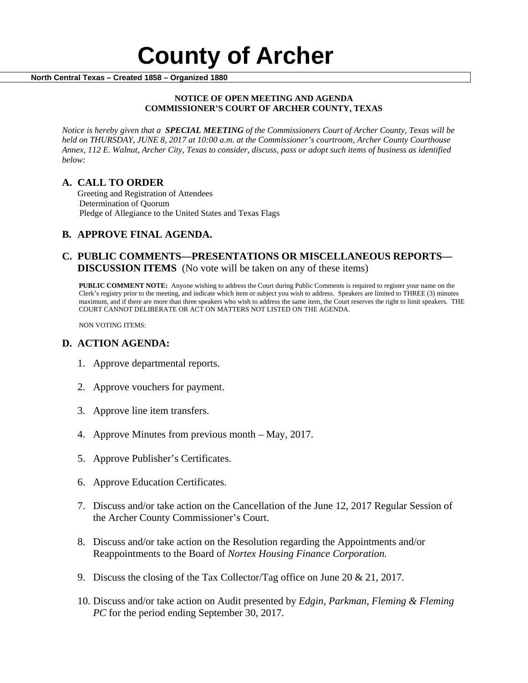#### **NOTICE OF OPEN MEETING AND AGENDA COMMISSIONER'S COURT OF ARCHER COUNTY, TEXAS**

*Notice is hereby given that a SPECIAL MEETING of the Commissioners Court of Archer County, Texas will be held on THURSDAY, JUNE 8, 2017 at 10:00 a.m. at the Commissioner's courtroom, Archer County Courthouse Annex, 112 E. Walnut, Archer City, Texas to consider, discuss, pass or adopt such items of business as identified below:*

**A. CALL TO ORDER** Greeting and Registration of Attendees Determination of Quorum Pledge of Allegiance to the United States and Texas Flags

# **B. APPROVE FINAL AGENDA.**

## **C. PUBLIC COMMENTS—PRESENTATIONS OR MISCELLANEOUS REPORTS— DISCUSSION ITEMS** (No vote will be taken on any of these items)

**PUBLIC COMMENT NOTE:** Anyone wishing to address the Court during Public Comments is required to register your name on the Clerk's registry prior to the meeting, and indicate which item or subject you wish to address. Speakers are limited to THREE (3) minutes maximum, and if there are more than three speakers who wish to address the same item, the Court reserves the right to limit speakers. THE COURT CANNOT DELIBERATE OR ACT ON MATTERS NOT LISTED ON THE AGENDA.

NON VOTING ITEMS:

### **D. ACTION AGENDA:**

- 1. Approve departmental reports.
- 2. Approve vouchers for payment.
- 3. Approve line item transfers.
- 4. Approve Minutes from previous month May, 2017.
- 5. Approve Publisher's Certificates.
- 6. Approve Education Certificates.
- 7. Discuss and/or take action on the Cancellation of the June 12, 2017 Regular Session of the Archer County Commissioner's Court.
- 8. Discuss and/or take action on the Resolution regarding the Appointments and/or Reappointments to the Board of *Nortex Housing Finance Corporation.*
- 9. Discuss the closing of the Tax Collector/Tag office on June 20  $\&$  21, 2017.
- 10. Discuss and/or take action on Audit presented by *Edgin, Parkman, Fleming & Fleming PC* for the period ending September 30, 2017.